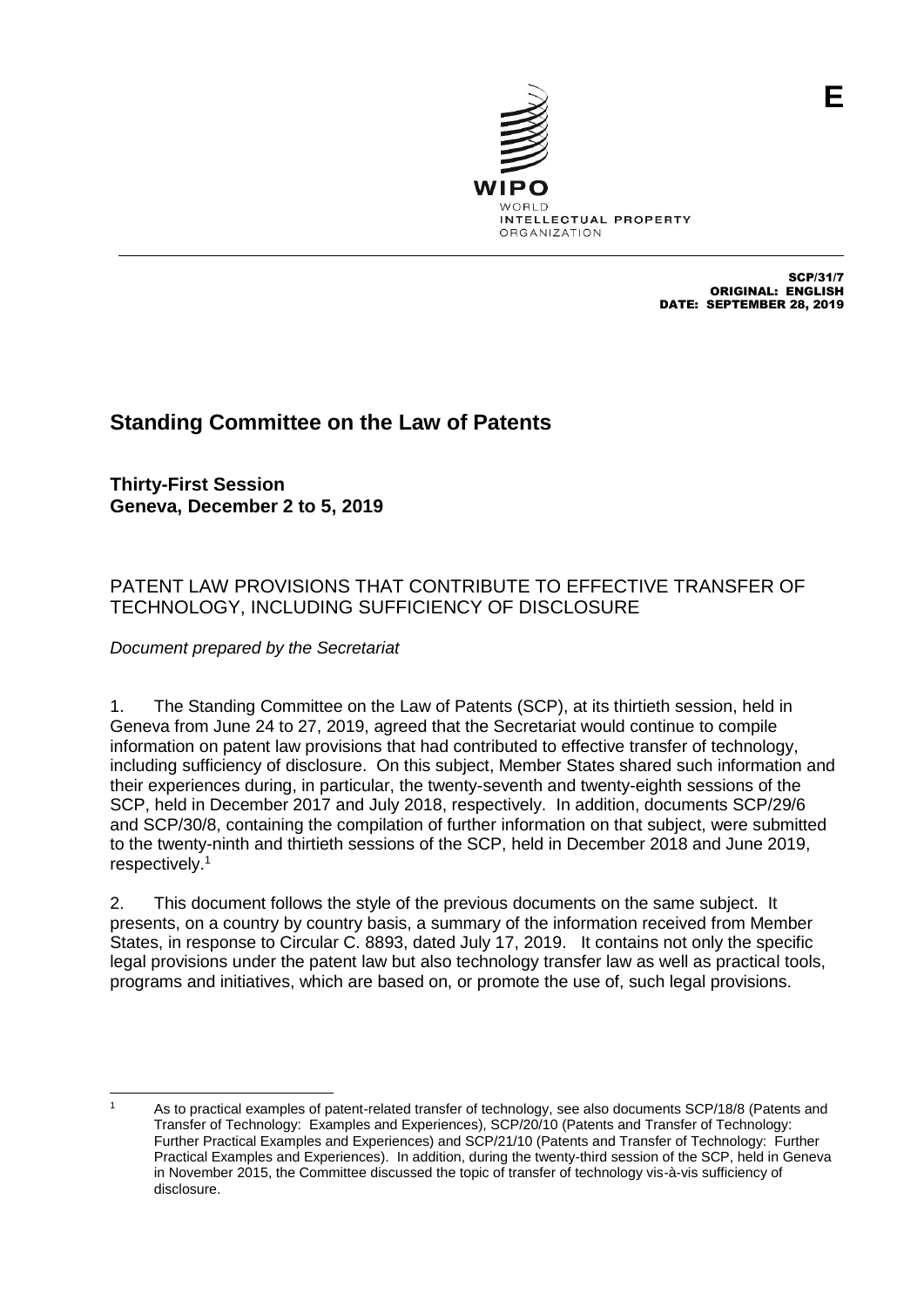

SCP/31/7 ORIGINAL: ENGLISH DATE: SEPTEMBER 28, 2019

# **Standing Committee on the Law of Patents**

**Thirty-First Session Geneva, December 2 to 5, 2019**

## PATENT LAW PROVISIONS THAT CONTRIBUTE TO EFFECTIVE TRANSFER OF TECHNOLOGY, INCLUDING SUFFICIENCY OF DISCLOSURE

*Document prepared by the Secretariat*

1. The Standing Committee on the Law of Patents (SCP), at its thirtieth session, held in Geneva from June 24 to 27, 2019, agreed that the Secretariat would continue to compile information on patent law provisions that had contributed to effective transfer of technology, including sufficiency of disclosure. On this subject, Member States shared such information and their experiences during, in particular, the twenty-seventh and twenty-eighth sessions of the SCP, held in December 2017 and July 2018, respectively. In addition, documents SCP/29/6 and SCP/30/8, containing the compilation of further information on that subject, were submitted to the twenty-ninth and thirtieth sessions of the SCP, held in December 2018 and June 2019, respectively. 1

2. This document follows the style of the previous documents on the same subject. It presents, on a country by country basis, a summary of the information received from Member States, in response to Circular C. 8893, dated July 17, 2019. It contains not only the specific legal provisions under the patent law but also technology transfer law as well as practical tools, programs and initiatives, which are based on, or promote the use of, such legal provisions.

As to practical examples of patent-related transfer of technology, see also documents SCP/18/8 (Patents and Transfer of Technology: Examples and Experiences), SCP/20/10 (Patents and Transfer of Technology: Further Practical Examples and Experiences) and SCP/21/10 (Patents and Transfer of Technology: Further Practical Examples and Experiences). In addition, during the twenty-third session of the SCP, held in Geneva in November 2015, the Committee discussed the topic of transfer of technology vis-à-vis sufficiency of disclosure.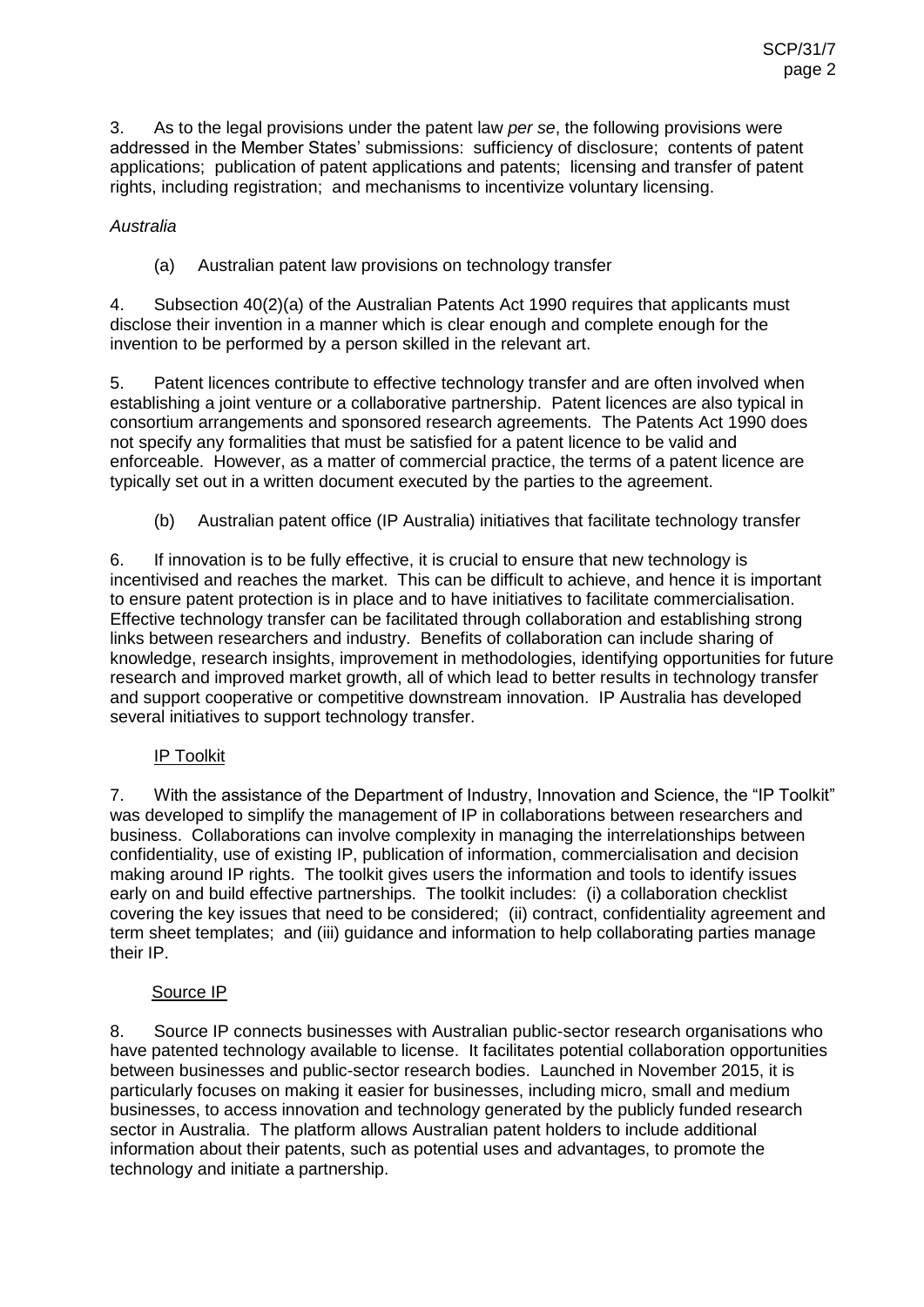3. As to the legal provisions under the patent law *per se*, the following provisions were addressed in the Member States' submissions: sufficiency of disclosure; contents of patent applications; publication of patent applications and patents; licensing and transfer of patent rights, including registration; and mechanisms to incentivize voluntary licensing.

## *Australia*

(a) Australian patent law provisions on technology transfer

4. Subsection 40(2)(a) of the Australian Patents Act 1990 requires that applicants must disclose their invention in a manner which is clear enough and complete enough for the invention to be performed by a person skilled in the relevant art.

5. Patent licences contribute to effective technology transfer and are often involved when establishing a joint venture or a collaborative partnership. Patent licences are also typical in consortium arrangements and sponsored research agreements. The Patents Act 1990 does not specify any formalities that must be satisfied for a patent licence to be valid and enforceable. However, as a matter of commercial practice, the terms of a patent licence are typically set out in a written document executed by the parties to the agreement.

(b) Australian patent office (IP Australia) initiatives that facilitate technology transfer

6. If innovation is to be fully effective, it is crucial to ensure that new technology is incentivised and reaches the market. This can be difficult to achieve, and hence it is important to ensure patent protection is in place and to have initiatives to facilitate commercialisation. Effective technology transfer can be facilitated through collaboration and establishing strong links between researchers and industry. Benefits of collaboration can include sharing of knowledge, research insights, improvement in methodologies, identifying opportunities for future research and improved market growth, all of which lead to better results in technology transfer and support cooperative or competitive downstream innovation. IP Australia has developed several initiatives to support technology transfer.

## IP Toolkit

7. With the assistance of the Department of Industry, Innovation and Science, the "IP Toolkit" was developed to simplify the management of IP in collaborations between researchers and business. Collaborations can involve complexity in managing the interrelationships between confidentiality, use of existing IP, publication of information, commercialisation and decision making around IP rights. The toolkit gives users the information and tools to identify issues early on and build effective partnerships. The toolkit includes: (i) a collaboration checklist covering the key issues that need to be considered; (ii) contract, confidentiality agreement and term sheet templates; and (iii) guidance and information to help collaborating parties manage their IP.

## Source IP

8. Source IP connects businesses with Australian public-sector research organisations who have patented technology available to license. It facilitates potential collaboration opportunities between businesses and public-sector research bodies. Launched in November 2015, it is particularly focuses on making it easier for businesses, including micro, small and medium businesses, to access innovation and technology generated by the publicly funded research sector in Australia. The platform allows Australian patent holders to include additional information about their patents, such as potential uses and advantages, to promote the technology and initiate a partnership.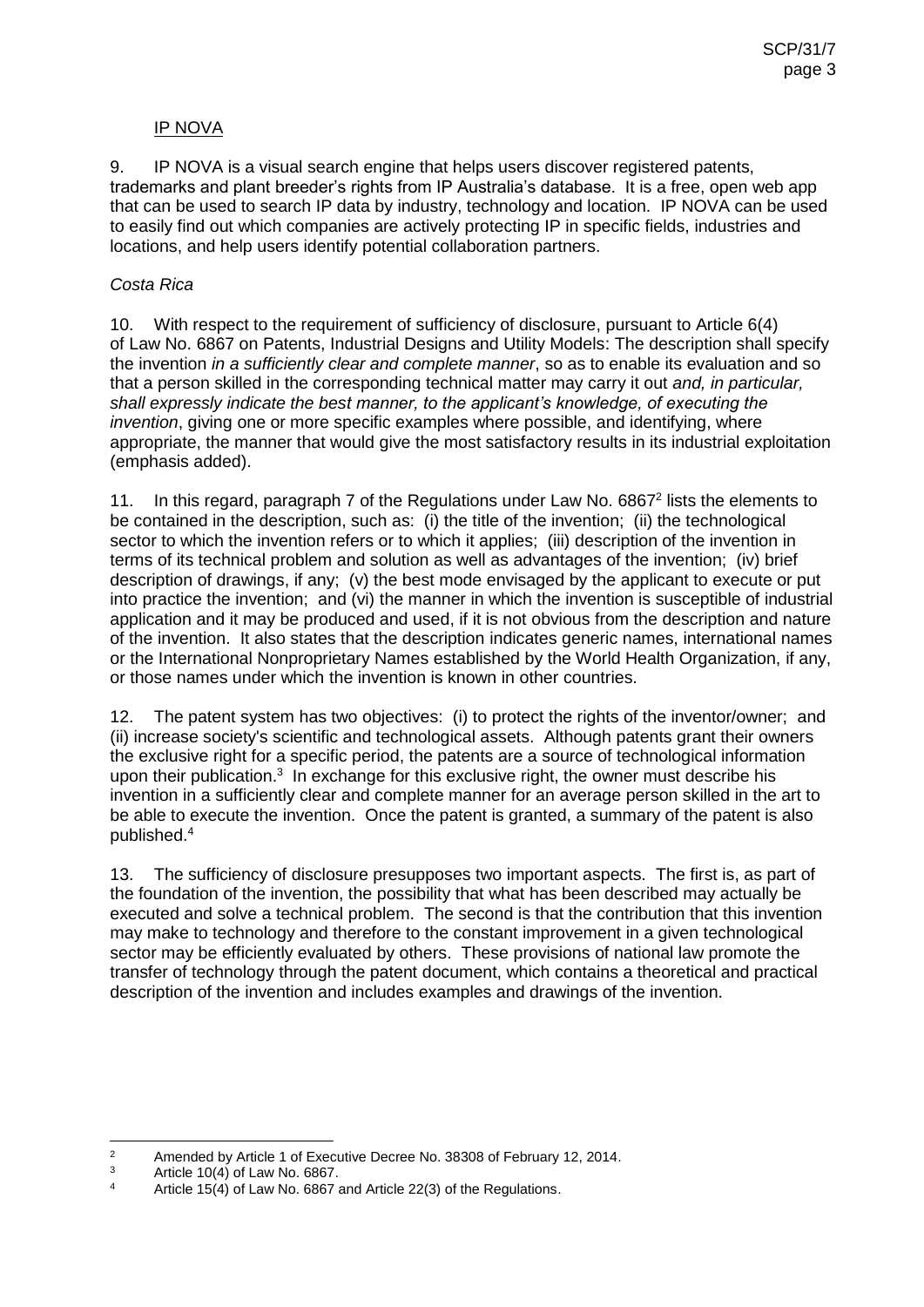#### IP NOVA

9. IP NOVA is a visual search engine that helps users discover registered patents, trademarks and plant breeder's rights from IP Australia's database. It is a free, open web app that can be used to search IP data by industry, technology and location. IP NOVA can be used to easily find out which companies are actively protecting IP in specific fields, industries and locations, and help users identify potential collaboration partners.

#### *Costa Rica*

10. With respect to the requirement of sufficiency of disclosure, pursuant to Article 6(4) of Law No. 6867 on Patents, Industrial Designs and Utility Models: The description shall specify the invention *in a sufficiently clear and complete manner*, so as to enable its evaluation and so that a person skilled in the corresponding technical matter may carry it out *and, in particular, shall expressly indicate the best manner, to the applicant's knowledge, of executing the invention*, giving one or more specific examples where possible, and identifying, where appropriate, the manner that would give the most satisfactory results in its industrial exploitation (emphasis added).

11. In this regard, paragraph 7 of the Regulations under Law No. 6867<sup>2</sup> lists the elements to be contained in the description, such as: (i) the title of the invention; (ii) the technological sector to which the invention refers or to which it applies; (iii) description of the invention in terms of its technical problem and solution as well as advantages of the invention; (iv) brief description of drawings, if any; (v) the best mode envisaged by the applicant to execute or put into practice the invention; and (vi) the manner in which the invention is susceptible of industrial application and it may be produced and used, if it is not obvious from the description and nature of the invention. It also states that the description indicates generic names, international names or the International Nonproprietary Names established by the World Health Organization, if any, or those names under which the invention is known in other countries.

12. The patent system has two objectives: (i) to protect the rights of the inventor/owner; and (ii) increase society's scientific and technological assets. Although patents grant their owners the exclusive right for a specific period, the patents are a source of technological information upon their publication.<sup>3</sup> In exchange for this exclusive right, the owner must describe his invention in a sufficiently clear and complete manner for an average person skilled in the art to be able to execute the invention. Once the patent is granted, a summary of the patent is also published.<sup>4</sup>

13. The sufficiency of disclosure presupposes two important aspects. The first is, as part of the foundation of the invention, the possibility that what has been described may actually be executed and solve a technical problem. The second is that the contribution that this invention may make to technology and therefore to the constant improvement in a given technological sector may be efficiently evaluated by others. These provisions of national law promote the transfer of technology through the patent document, which contains a theoretical and practical description of the invention and includes examples and drawings of the invention.

 $\overline{2}$ <sup>2</sup> Amended by Article 1 of Executive Decree No. 38308 of February 12, 2014.

 $\frac{3}{4}$  Article 10(4) of Law No. 6867.

Article 15(4) of Law No. 6867 and Article 22(3) of the Regulations.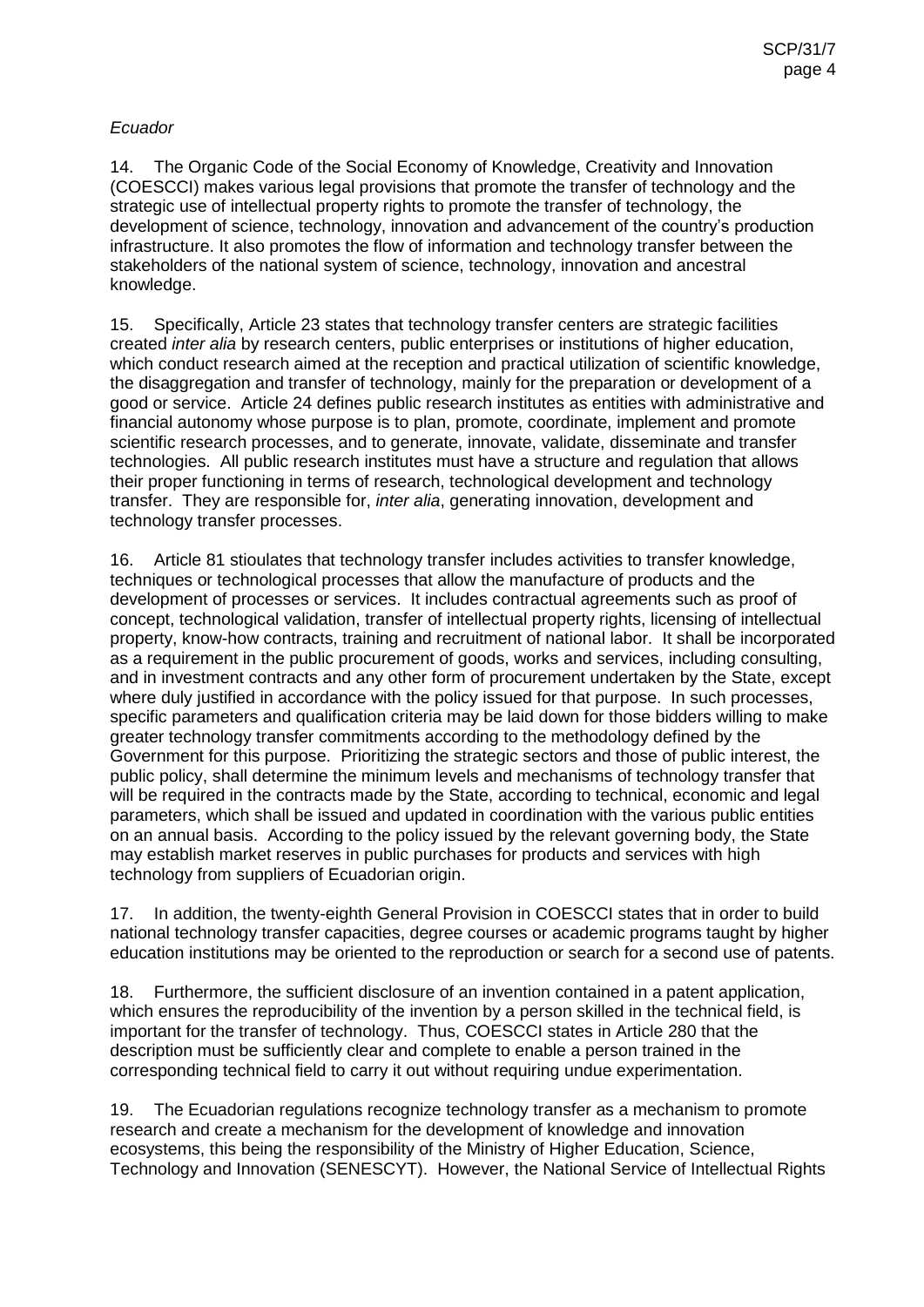### *Ecuador*

14. The Organic Code of the Social Economy of Knowledge, Creativity and Innovation (COESCCI) makes various legal provisions that promote the transfer of technology and the strategic use of intellectual property rights to promote the transfer of technology, the development of science, technology, innovation and advancement of the country's production infrastructure. It also promotes the flow of information and technology transfer between the stakeholders of the national system of science, technology, innovation and ancestral knowledge.

15. Specifically, Article 23 states that technology transfer centers are strategic facilities created *inter alia* by research centers, public enterprises or institutions of higher education, which conduct research aimed at the reception and practical utilization of scientific knowledge, the disaggregation and transfer of technology, mainly for the preparation or development of a good or service. Article 24 defines public research institutes as entities with administrative and financial autonomy whose purpose is to plan, promote, coordinate, implement and promote scientific research processes, and to generate, innovate, validate, disseminate and transfer technologies. All public research institutes must have a structure and regulation that allows their proper functioning in terms of research, technological development and technology transfer. They are responsible for, *inter alia*, generating innovation, development and technology transfer processes.

16. Article 81 stioulates that technology transfer includes activities to transfer knowledge, techniques or technological processes that allow the manufacture of products and the development of processes or services. It includes contractual agreements such as proof of concept, technological validation, transfer of intellectual property rights, licensing of intellectual property, know-how contracts, training and recruitment of national labor. It shall be incorporated as a requirement in the public procurement of goods, works and services, including consulting, and in investment contracts and any other form of procurement undertaken by the State, except where duly justified in accordance with the policy issued for that purpose. In such processes, specific parameters and qualification criteria may be laid down for those bidders willing to make greater technology transfer commitments according to the methodology defined by the Government for this purpose. Prioritizing the strategic sectors and those of public interest, the public policy, shall determine the minimum levels and mechanisms of technology transfer that will be required in the contracts made by the State, according to technical, economic and legal parameters, which shall be issued and updated in coordination with the various public entities on an annual basis. According to the policy issued by the relevant governing body, the State may establish market reserves in public purchases for products and services with high technology from suppliers of Ecuadorian origin.

17. In addition, the twenty-eighth General Provision in COESCCI states that in order to build national technology transfer capacities, degree courses or academic programs taught by higher education institutions may be oriented to the reproduction or search for a second use of patents.

18. Furthermore, the sufficient disclosure of an invention contained in a patent application, which ensures the reproducibility of the invention by a person skilled in the technical field, is important for the transfer of technology. Thus, COESCCI states in Article 280 that the description must be sufficiently clear and complete to enable a person trained in the corresponding technical field to carry it out without requiring undue experimentation.

19. The Ecuadorian regulations recognize technology transfer as a mechanism to promote research and create a mechanism for the development of knowledge and innovation ecosystems, this being the responsibility of the Ministry of Higher Education, Science, Technology and Innovation (SENESCYT). However, the National Service of Intellectual Rights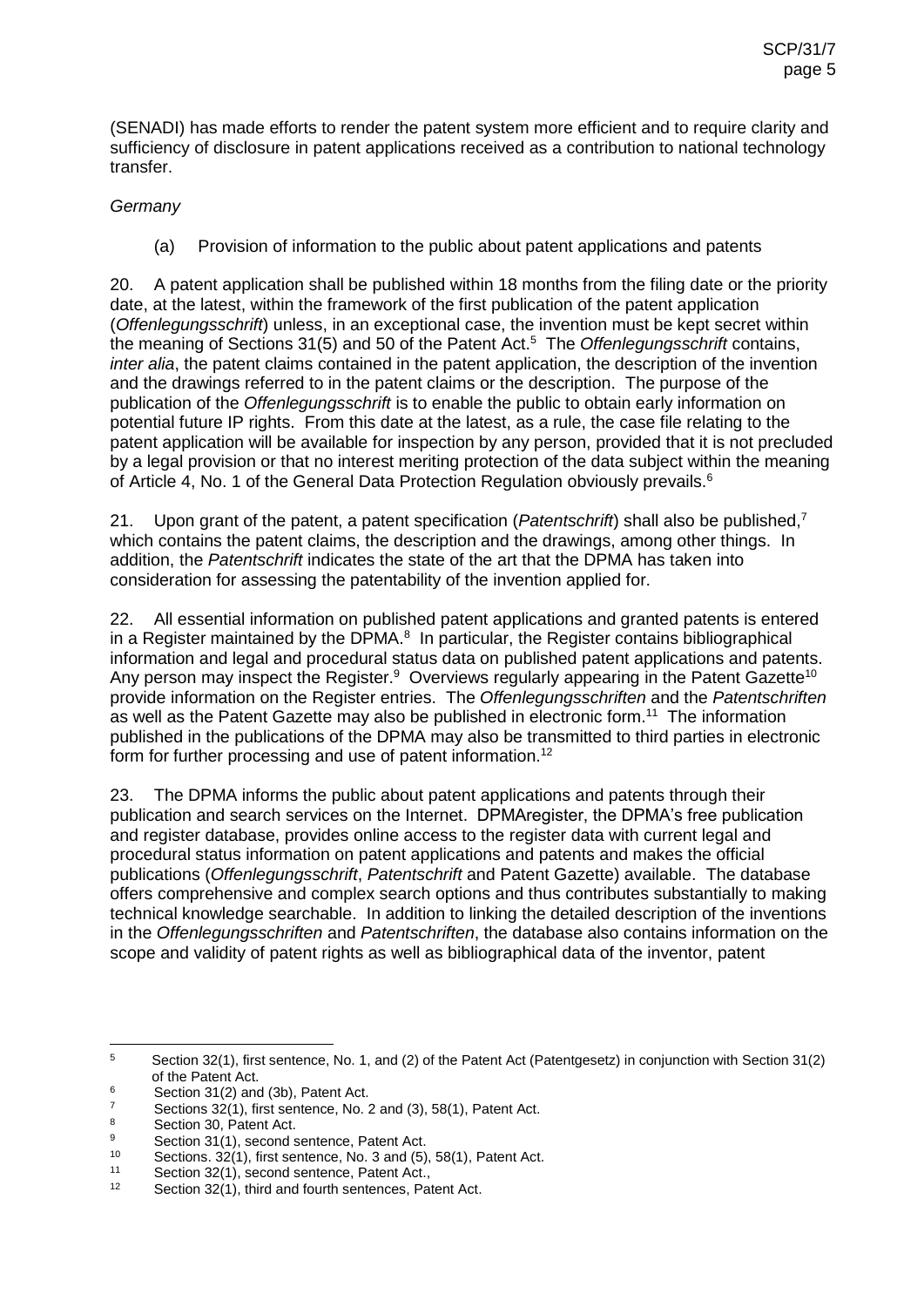(SENADI) has made efforts to render the patent system more efficient and to require clarity and sufficiency of disclosure in patent applications received as a contribution to national technology transfer.

### *Germany*

(a) Provision of information to the public about patent applications and patents

20. A patent application shall be published within 18 months from the filing date or the priority date, at the latest, within the framework of the first publication of the patent application (*Offenlegungsschrift*) unless, in an exceptional case, the invention must be kept secret within the meaning of Sections 31(5) and 50 of the Patent Act.<sup>5</sup> The *Offenlegungsschrift* contains, *inter alia*, the patent claims contained in the patent application, the description of the invention and the drawings referred to in the patent claims or the description. The purpose of the publication of the *Offenlegungsschrift* is to enable the public to obtain early information on potential future IP rights. From this date at the latest, as a rule, the case file relating to the patent application will be available for inspection by any person, provided that it is not precluded by a legal provision or that no interest meriting protection of the data subject within the meaning of Article 4, No. 1 of the General Data Protection Regulation obviously prevails.<sup>6</sup>

21. Upon grant of the patent, a patent specification (*Patentschrift*) shall also be published, 7 which contains the patent claims, the description and the drawings, among other things. In addition, the *Patentschrift* indicates the state of the art that the DPMA has taken into consideration for assessing the patentability of the invention applied for.

22. All essential information on published patent applications and granted patents is entered in a Register maintained by the DPMA. $<sup>8</sup>$  In particular, the Register contains bibliographical</sup> information and legal and procedural status data on published patent applications and patents. Any person may inspect the Register.<sup>9</sup> Overviews regularly appearing in the Patent Gazette<sup>10</sup> provide information on the Register entries. The *Offenlegungsschriften* and the *Patentschriften* as well as the Patent Gazette may also be published in electronic form.<sup>11</sup> The information published in the publications of the DPMA may also be transmitted to third parties in electronic form for further processing and use of patent information.<sup>12</sup>

23. The DPMA informs the public about patent applications and patents through their publication and search services on the Internet. DPMAregister, the DPMA's free publication and register database, provides online access to the register data with current legal and procedural status information on patent applications and patents and makes the official publications (*Offenlegungsschrift*, *Patentschrift* and Patent Gazette) available. The database offers comprehensive and complex search options and thus contributes substantially to making technical knowledge searchable. In addition to linking the detailed description of the inventions in the *Offenlegungsschriften* and *Patentschriften*, the database also contains information on the scope and validity of patent rights as well as bibliographical data of the inventor, patent

 $\overline{a}$ <sup>5</sup> Section 32(1), first sentence, No. 1, and (2) of the Patent Act (Patentgesetz) in conjunction with Section 31(2) of the Patent Act.

 $6$  Section 31(2) and (3b), Patent Act.

 $\frac{7}{8}$  Sections 32(1), first sentence, No. 2 and (3), 58(1), Patent Act.

 $\frac{8}{9}$  Section 30, Patent Act.

<sup>9</sup> Section 31(1), second sentence, Patent Act.<br> $\frac{9}{2}$  Sections 32(1), first sentence, Ne, 3 and (5)

<sup>10</sup> Sections.  $32(1)$ , first sentence, No. 3 and (5), 58(1), Patent Act.

<sup>11</sup> Section  $32(1)$ , second sentence, Patent Act.,  $12$  Section  $22(1)$ , third and fourth centences. Pat

Section 32(1), third and fourth sentences, Patent Act.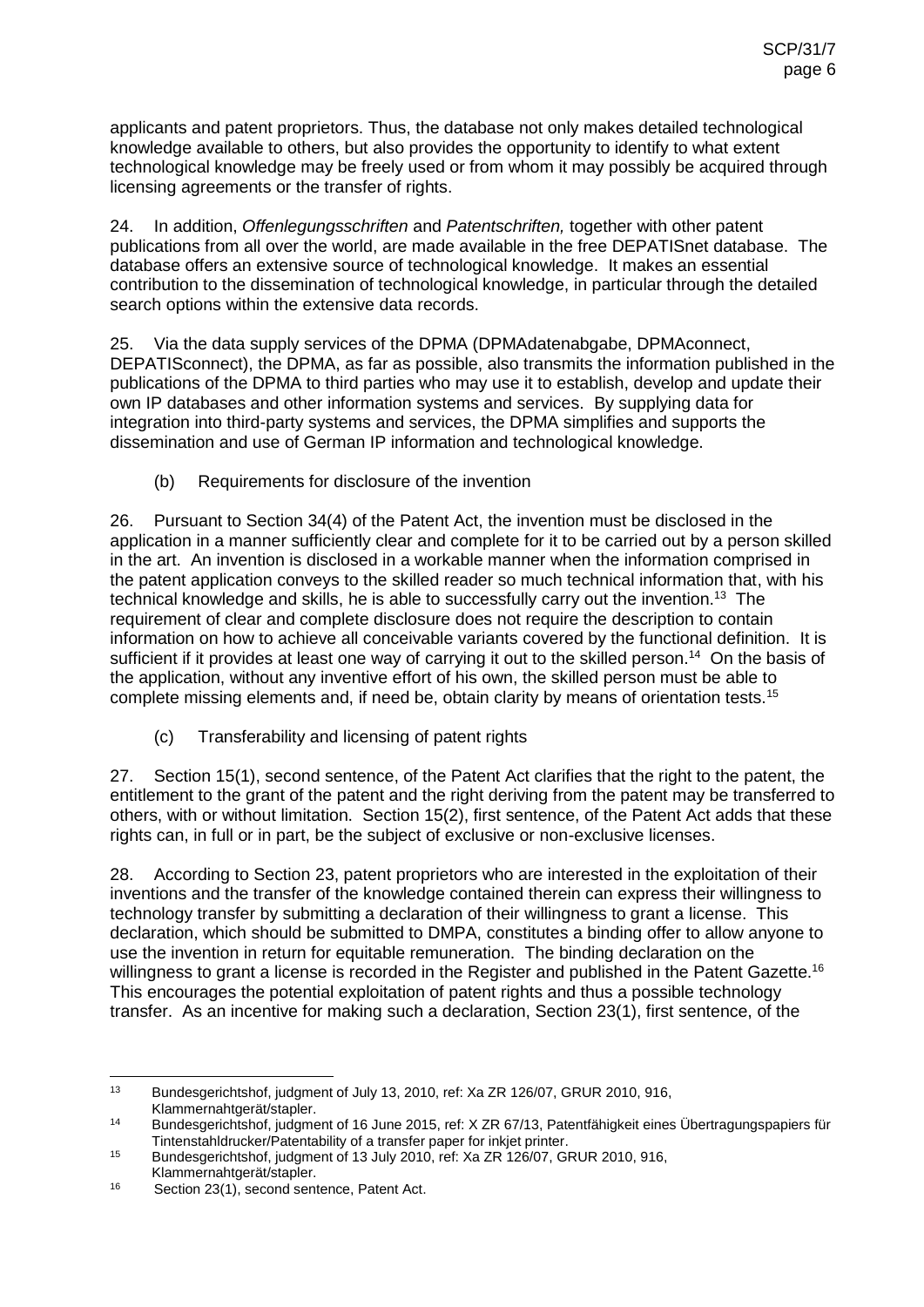applicants and patent proprietors. Thus, the database not only makes detailed technological knowledge available to others, but also provides the opportunity to identify to what extent technological knowledge may be freely used or from whom it may possibly be acquired through licensing agreements or the transfer of rights.

24. In addition, *Offenlegungsschriften* and *Patentschriften,* together with other patent publications from all over the world, are made available in the free DEPATISnet database. The database offers an extensive source of technological knowledge. It makes an essential contribution to the dissemination of technological knowledge, in particular through the detailed search options within the extensive data records.

25. Via the data supply services of the DPMA (DPMAdatenabgabe, DPMAconnect, DEPATISconnect), the DPMA, as far as possible, also transmits the information published in the publications of the DPMA to third parties who may use it to establish, develop and update their own IP databases and other information systems and services. By supplying data for integration into third-party systems and services, the DPMA simplifies and supports the dissemination and use of German IP information and technological knowledge.

(b) Requirements for disclosure of the invention

26. Pursuant to Section 34(4) of the Patent Act, the invention must be disclosed in the application in a manner sufficiently clear and complete for it to be carried out by a person skilled in the art. An invention is disclosed in a workable manner when the information comprised in the patent application conveys to the skilled reader so much technical information that, with his technical knowledge and skills, he is able to successfully carry out the invention.<sup>13</sup> The requirement of clear and complete disclosure does not require the description to contain information on how to achieve all conceivable variants covered by the functional definition. It is sufficient if it provides at least one way of carrying it out to the skilled person.<sup>14</sup> On the basis of the application, without any inventive effort of his own, the skilled person must be able to complete missing elements and, if need be, obtain clarity by means of orientation tests.<sup>15</sup>

(c) Transferability and licensing of patent rights

27. Section 15(1), second sentence, of the Patent Act clarifies that the right to the patent, the entitlement to the grant of the patent and the right deriving from the patent may be transferred to others, with or without limitation. Section 15(2), first sentence, of the Patent Act adds that these rights can, in full or in part, be the subject of exclusive or non-exclusive licenses.

28. According to Section 23, patent proprietors who are interested in the exploitation of their inventions and the transfer of the knowledge contained therein can express their willingness to technology transfer by submitting a declaration of their willingness to grant a license. This declaration, which should be submitted to DMPA, constitutes a binding offer to allow anyone to use the invention in return for equitable remuneration. The binding declaration on the willingness to grant a license is recorded in the Register and published in the Patent Gazette.<sup>16</sup> This encourages the potential exploitation of patent rights and thus a possible technology transfer. As an incentive for making such a declaration, Section 23(1), first sentence, of the

 $13$ Bundesgerichtshof, judgment of July 13, 2010, ref: Xa ZR 126/07, GRUR 2010, 916, Klammernahtgerät/stapler.

<sup>14</sup> Bundesgerichtshof, judgment of 16 June 2015, ref: X ZR 67/13, Patentfähigkeit eines Übertragungspapiers für Tintenstahldrucker/Patentability of a transfer paper for inkjet printer.

<sup>15</sup> Bundesgerichtshof, judgment of 13 July 2010, ref: Xa ZR 126/07, GRUR 2010, 916, Klammernahtgerät/stapler.

<sup>16</sup> Section 23(1), second sentence, Patent Act.